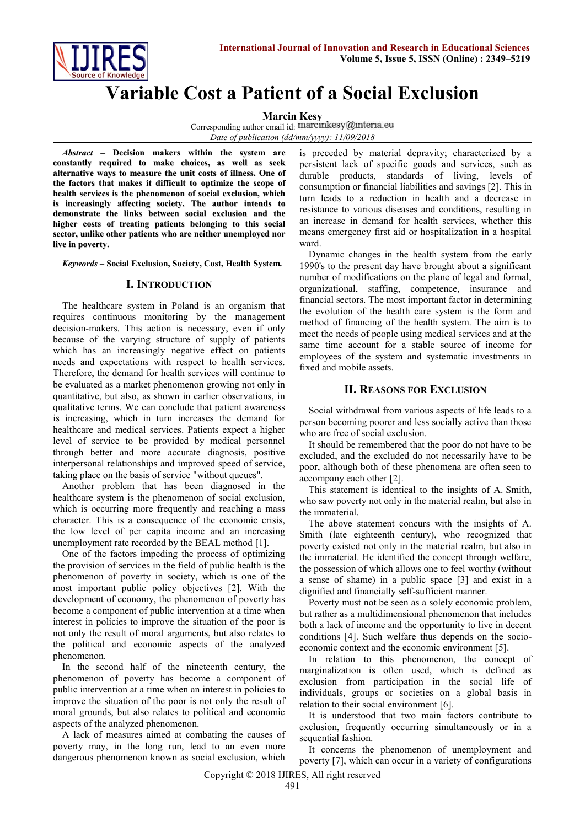

# **Variable Cost a Patient of a Social Exclusion**

**Marcin Kesy**

Corresponding author email id: marcinkesy@interia.eu

*Date of publication (dd/mm/yyyy): 11/09/2018*

*Abstract* **– Decision makers within the system are constantly required to make choices, as well as seek alternative ways to measure the unit costs of illness. One of the factors that makes it difficult to optimize the scope of health services is the phenomenon of social exclusion, which is increasingly affecting society. The author intends to demonstrate the links between social exclusion and the higher costs of treating patients belonging to this social sector, unlike other patients who are neither unemployed nor live in poverty.**

*Keywords* **– Social Exclusion, Society, Cost, Health System***.*

#### **I. INTRODUCTION**

The healthcare system in Poland is an organism that requires continuous monitoring by the management decision-makers. This action is necessary, even if only because of the varying structure of supply of patients which has an increasingly negative effect on patients needs and expectations with respect to health services. Therefore, the demand for health services will continue to be evaluated as a market phenomenon growing not only in quantitative, but also, as shown in earlier observations, in qualitative terms. We can conclude that patient awareness is increasing, which in turn increases the demand for healthcare and medical services. Patients expect a higher level of service to be provided by medical personnel through better and more accurate diagnosis, positive interpersonal relationships and improved speed of service, taking place on the basis of service "without queues".

Another problem that has been diagnosed in the healthcare system is the phenomenon of social exclusion, which is occurring more frequently and reaching a mass character. This is a consequence of the economic crisis, the low level of per capita income and an increasing unemployment rate recorded by the BEAL method [1].

One of the factors impeding the process of optimizing the provision of services in the field of public health is the phenomenon of poverty in society, which is one of the most important public policy objectives [2]. With the development of economy, the phenomenon of poverty has become a component of public intervention at a time when interest in policies to improve the situation of the poor is not only the result of moral arguments, but also relates to the political and economic aspects of the analyzed phenomenon.

In the second half of the nineteenth century, the phenomenon of poverty has become a component of public intervention at a time when an interest in policies to improve the situation of the poor is not only the result of moral grounds, but also relates to political and economic aspects of the analyzed phenomenon.

A lack of measures aimed at combating the causes of poverty may, in the long run, lead to an even more dangerous phenomenon known as social exclusion, which is preceded by material depravity; characterized by a persistent lack of specific goods and services, such as durable products, standards of living, levels of consumption or financial liabilities and savings [2]. This in turn leads to a reduction in health and a decrease in resistance to various diseases and conditions, resulting in an increase in demand for health services, whether this means emergency first aid or hospitalization in a hospital ward.

Dynamic changes in the health system from the early 1990's to the present day have brought about a significant number of modifications on the plane of legal and formal, organizational, staffing, competence, insurance and financial sectors. The most important factor in determining the evolution of the health care system is the form and method of financing of the health system. The aim is to meet the needs of people using medical services and at the same time account for a stable source of income for employees of the system and systematic investments in fixed and mobile assets.

#### **II. REASONS FOR EXCLUSION**

Social withdrawal from various aspects of life leads to a person becoming poorer and less socially active than those who are free of social exclusion.

It should be remembered that the poor do not have to be excluded, and the excluded do not necessarily have to be poor, although both of these phenomena are often seen to accompany each other [2].

This statement is identical to the insights of A. Smith, who saw poverty not only in the material realm, but also in the immaterial.

The above statement concurs with the insights of A. Smith (late eighteenth century), who recognized that poverty existed not only in the material realm, but also in the immaterial. He identified the concept through welfare, the possession of which allows one to feel worthy (without a sense of shame) in a public space [3] and exist in a dignified and financially self-sufficient manner.

Poverty must not be seen as a solely economic problem, but rather as a multidimensional phenomenon that includes both a lack of income and the opportunity to live in decent conditions [4]. Such welfare thus depends on the socioeconomic context and the economic environment [5].

In relation to this phenomenon, the concept of marginalization is often used, which is defined as exclusion from participation in the social life of individuals, groups or societies on a global basis in relation to their social environment [6].

It is understood that two main factors contribute to exclusion, frequently occurring simultaneously or in a sequential fashion.

It concerns the phenomenon of unemployment and poverty [7], which can occur in a variety of configurations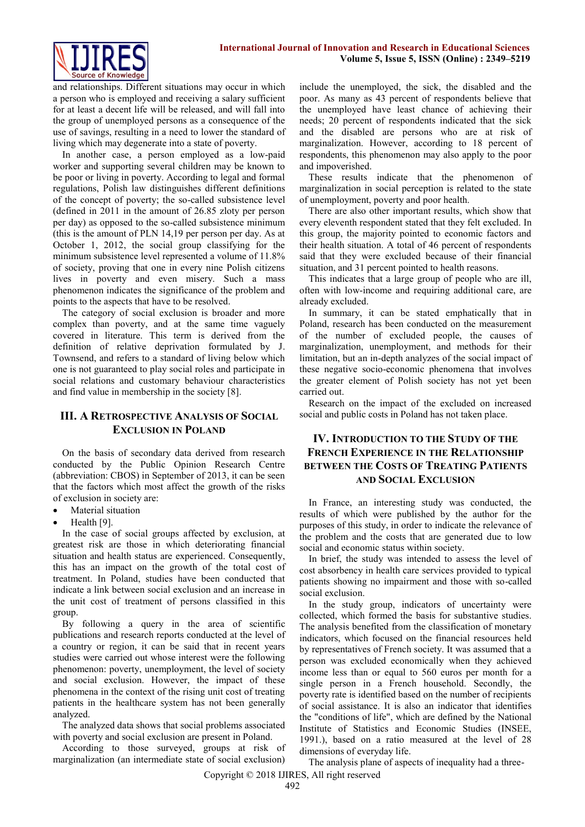

and relationships. Different situations may occur in which a person who is employed and receiving a salary sufficient for at least a decent life will be released, and will fall into the group of unemployed persons as a consequence of the use of savings, resulting in a need to lower the standard of living which may degenerate into a state of poverty.

In another case, a person employed as a low-paid worker and supporting several children may be known to be poor or living in poverty. According to legal and formal regulations, Polish law distinguishes different definitions of the concept of poverty; the so-called subsistence level (defined in 2011 in the amount of 26.85 zloty per person per day) as opposed to the so-called subsistence minimum (this is the amount of PLN 14,19 per person per day. As at October 1, 2012, the social group classifying for the minimum subsistence level represented a volume of 11.8% of society, proving that one in every nine Polish citizens lives in poverty and even misery. Such a mass phenomenon indicates the significance of the problem and points to the aspects that have to be resolved.

The category of social exclusion is broader and more complex than poverty, and at the same time vaguely covered in literature. This term is derived from the definition of relative deprivation formulated by J. Townsend, and refers to a standard of living below which one is not guaranteed to play social roles and participate in social relations and customary behaviour characteristics and find value in membership in the society [8].

### **III. A RETROSPECTIVE ANALYSIS OF SOCIAL EXCLUSION IN POLAND**

On the basis of secondary data derived from research conducted by the Public Opinion Research Centre (abbreviation: CBOS) in September of 2013, it can be seen that the factors which most affect the growth of the risks of exclusion in society are:

- Material situation
- Health [9].

In the case of social groups affected by exclusion, at greatest risk are those in which deteriorating financial situation and health status are experienced. Consequently, this has an impact on the growth of the total cost of treatment. In Poland, studies have been conducted that indicate a link between social exclusion and an increase in the unit cost of treatment of persons classified in this group.

By following a query in the area of scientific publications and research reports conducted at the level of a country or region, it can be said that in recent years studies were carried out whose interest were the following phenomenon: poverty, unemployment, the level of society and social exclusion. However, the impact of these phenomena in the context of the rising unit cost of treating patients in the healthcare system has not been generally analyzed.

The analyzed data shows that social problems associated with poverty and social exclusion are present in Poland.

According to those surveyed, groups at risk of marginalization (an intermediate state of social exclusion)

include the unemployed, the sick, the disabled and the poor. As many as 43 percent of respondents believe that the unemployed have least chance of achieving their needs; 20 percent of respondents indicated that the sick and the disabled are persons who are at risk of marginalization. However, according to 18 percent of respondents, this phenomenon may also apply to the poor and impoverished.

These results indicate that the phenomenon of marginalization in social perception is related to the state of unemployment, poverty and poor health.

There are also other important results, which show that every eleventh respondent stated that they felt excluded. In this group, the majority pointed to economic factors and their health situation. A total of 46 percent of respondents said that they were excluded because of their financial situation, and 31 percent pointed to health reasons.

This indicates that a large group of people who are ill, often with low-income and requiring additional care, are already excluded.

In summary, it can be stated emphatically that in Poland, research has been conducted on the measurement of the number of excluded people, the causes of marginalization, unemployment, and methods for their limitation, but an in-depth analyzes of the social impact of these negative socio-economic phenomena that involves the greater element of Polish society has not yet been carried out.

Research on the impact of the excluded on increased social and public costs in Poland has not taken place.

## **IV. INTRODUCTION TO THE STUDY OF THE FRENCH EXPERIENCE IN THE RELATIONSHIP BETWEEN THE COSTS OF TREATING PATIENTS AND SOCIAL EXCLUSION**

In France, an interesting study was conducted, the results of which were published by the author for the purposes of this study, in order to indicate the relevance of the problem and the costs that are generated due to low social and economic status within society.

In brief, the study was intended to assess the level of cost absorbency in health care services provided to typical patients showing no impairment and those with so-called social exclusion.

In the study group, indicators of uncertainty were collected, which formed the basis for substantive studies. The analysis benefited from the classification of monetary indicators, which focused on the financial resources held by representatives of French society. It was assumed that a person was excluded economically when they achieved income less than or equal to 560 euros per month for a single person in a French household. Secondly, the poverty rate is identified based on the number of recipients of social assistance. It is also an indicator that identifies the "conditions of life", which are defined by the National Institute of Statistics and Economic Studies (INSEE, 1991.), based on a ratio measured at the level of 28 dimensions of everyday life.

Copyright © 2018 IJIRES, All right reserved The analysis plane of aspects of inequality had a three-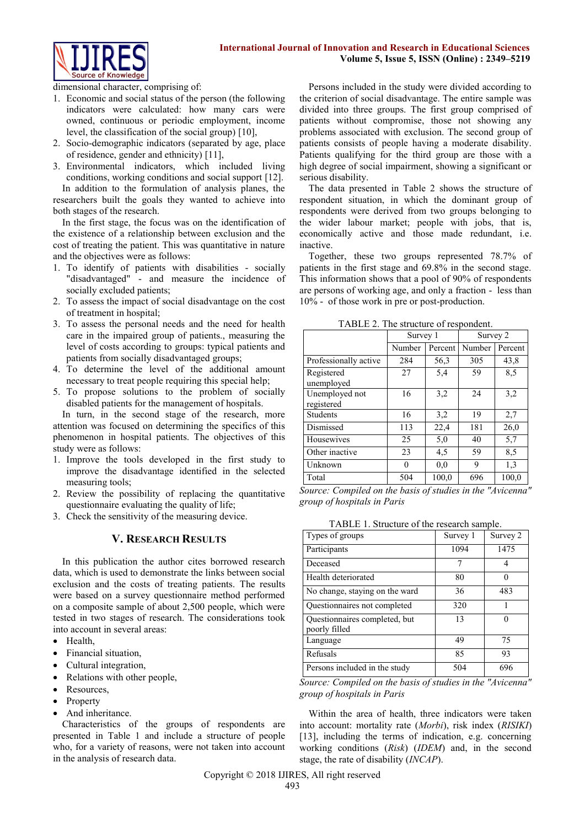

dimensional character, comprising of:

- 1. Economic and social status of the person (the following indicators were calculated: how many cars were owned, continuous or periodic employment, income level, the classification of the social group) [10],
- 2. Socio-demographic indicators (separated by age, place of residence, gender and ethnicity) [11],
- 3. Environmental indicators, which included living conditions, working conditions and social support [12]. In addition to the formulation of analysis planes, the researchers built the goals they wanted to achieve into both stages of the research.

In the first stage, the focus was on the identification of the existence of a relationship between exclusion and the cost of treating the patient. This was quantitative in nature and the objectives were as follows:

- 1. To identify of patients with disabilities socially "disadvantaged" - and measure the incidence of socially excluded patients;
- 2. To assess the impact of social disadvantage on the cost of treatment in hospital;
- 3. To assess the personal needs and the need for health care in the impaired group of patients., measuring the level of costs according to groups: typical patients and patients from socially disadvantaged groups;
- 4. To determine the level of the additional amount necessary to treat people requiring this special help;
- 5. To propose solutions to the problem of socially disabled patients for the management of hospitals.

In turn, in the second stage of the research, more attention was focused on determining the specifics of this phenomenon in hospital patients. The objectives of this study were as follows:

- 1. Improve the tools developed in the first study to improve the disadvantage identified in the selected measuring tools;
- 2. Review the possibility of replacing the quantitative questionnaire evaluating the quality of life;
- 3. Check the sensitivity of the measuring device.

#### **V. RESEARCH RESULTS**

In this publication the author cites borrowed research data, which is used to demonstrate the links between social exclusion and the costs of treating patients. The results were based on a survey questionnaire method performed on a composite sample of about 2,500 people, which were tested in two stages of research. The considerations took into account in several areas:

- Health
- Financial situation,
- Cultural integration,
- Relations with other people,
- Resources,
- Property
- And inheritance.

Characteristics of the groups of respondents are presented in Table 1 and include a structure of people who, for a variety of reasons, were not taken into account in the analysis of research data.

Persons included in the study were divided according to the criterion of social disadvantage. The entire sample was divided into three groups. The first group comprised of patients without compromise, those not showing any problems associated with exclusion. The second group of patients consists of people having a moderate disability. Patients qualifying for the third group are those with a high degree of social impairment, showing a significant or serious disability.

The data presented in Table 2 shows the structure of respondent situation, in which the dominant group of respondents were derived from two groups belonging to the wider labour market; people with jobs, that is, economically active and those made redundant, i.e. inactive.

Together, these two groups represented 78.7% of patients in the first stage and 69.8% in the second stage. This information shows that a pool of 90% of respondents are persons of working age, and only a fraction - less than 10% - of those work in pre or post-production.

|                              | Survey 1 |         | Survey 2 |                  |
|------------------------------|----------|---------|----------|------------------|
|                              | Number   | Percent | Number   | Percent          |
| Professionally active        | 284      | 56,3    | 305      | 43,8             |
| Registered<br>unemployed     | 27       | 5.4     | 59       | 8,5              |
| Unemployed not<br>registered | 16       | 3,2     | 24       | 3,2              |
| <b>Students</b>              | 16       | 3,2     | 19       | 2,7              |
| Dismissed                    | 113      | 22,4    | 181      | 26,0             |
| Housewives                   | 25       | 5,0     | 40       | $\overline{5,7}$ |
| Other inactive               | 23       | 4,5     | 59       | 8,5              |
| Unknown                      | $\Omega$ | 0.0     | 9        | 1,3              |
| Total                        | 504      | 100,0   | 696      | 100,0            |

TABLE 2. The structure of respondent.

*Source: Compiled on the basis of studies in the "Avicenna" group of hospitals in Paris* 

TABLE 1. Structure of the research sample.

| Types of groups                                | Survey 1 | Survey 2 |
|------------------------------------------------|----------|----------|
| Participants                                   | 1094     | 1475     |
| Deceased                                       | 7        |          |
| Health deteriorated                            | 80       |          |
| No change, staying on the ward                 | 36       | 483      |
| Questionnaires not completed                   | 320      |          |
| Questionnaires completed, but<br>poorly filled | 13       |          |
| Language                                       | 49       | 75       |
| Refusals                                       | 85       | 93       |
| Persons included in the study                  | 504      | 696      |

*Source: Compiled on the basis of studies in the "Avicenna" group of hospitals in Paris*

Within the area of health, three indicators were taken into account: mortality rate (*Morbi*), risk index (*RISIKI*) [13], including the terms of indication, e.g. concerning working conditions (*Risk*) (*IDEM*) and, in the second stage, the rate of disability (*INCAP*).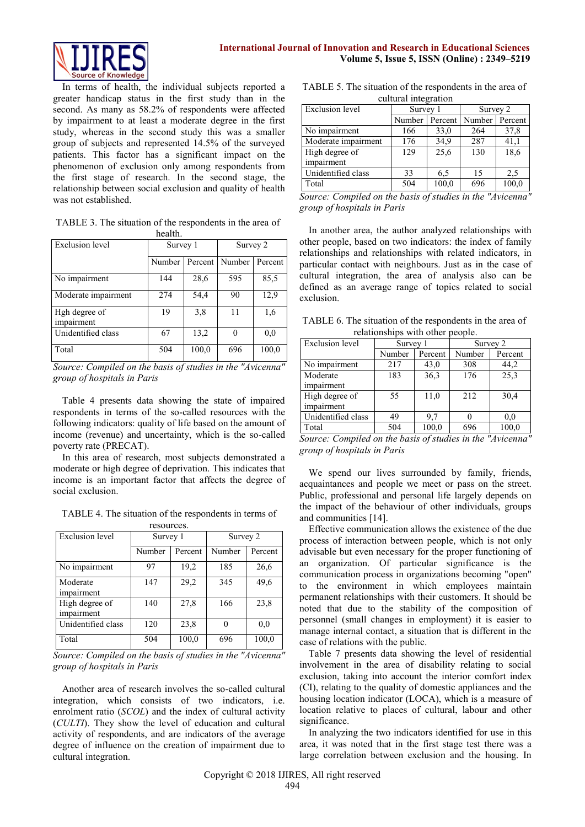

In terms of health, the individual subjects reported a greater handicap status in the first study than in the second. As many as 58.2% of respondents were affected by impairment to at least a moderate degree in the first study, whereas in the second study this was a smaller group of subjects and represented 14.5% of the surveyed patients. This factor has a significant impact on the phenomenon of exclusion only among respondents from the first stage of research. In the second stage, the relationship between social exclusion and quality of health was not established.

TABLE 3. The situation of the respondents in the area of health.

| Exclusion level             | Survey 1 |         | Survey 2 |         |
|-----------------------------|----------|---------|----------|---------|
|                             | Number   | Percent | Number   | Percent |
| No impairment               | 144      | 28,6    | 595      | 85.5    |
| Moderate impairment         | 274      | 54,4    | 90       | 12.9    |
| Hgh degree of<br>impairment | 19       | 3,8     | 11       | 1.6     |
| Unidentified class          | 67       | 13,2    | 0        | 0.0     |
| Total                       | 504      | 100,0   | 696      | 100,0   |

*Source: Compiled on the basis of studies in the "Avicenna" group of hospitals in Paris* 

Table 4 presents data showing the state of impaired respondents in terms of the so-called resources with the following indicators: quality of life based on the amount of income (revenue) and uncertainty, which is the so-called poverty rate (PRECAT).

In this area of research, most subjects demonstrated a moderate or high degree of deprivation. This indicates that income is an important factor that affects the degree of social exclusion.

TABLE 4. The situation of the respondents in terms of resources.

| <b>Exclusion</b> level       | Survey 1 |         | Survey 2 |         |
|------------------------------|----------|---------|----------|---------|
|                              | Number   | Percent | Number   | Percent |
| No impairment                | 97       | 19,2    | 185      | 26,6    |
| Moderate<br>impairment       | 147      | 29,2    | 345      | 49,6    |
| High degree of<br>impairment | 140      | 27,8    | 166      | 23,8    |
| Unidentified class           | 120      | 23,8    | 0        | 0.0     |
| Total                        | 504      | 100,0   | 696      | 100,0   |

*Source: Compiled on the basis of studies in the "Avicenna" group of hospitals in Paris* 

Another area of research involves the so-called cultural integration, which consists of two indicators, i.e. enrolment ratio (*SCOL*) and the index of cultural activity (*CULTI*). They show the level of education and cultural activity of respondents, and are indicators of the average degree of influence on the creation of impairment due to cultural integration.

TABLE 5. The situation of the respondents in the area of cultural integration

| <b>Exclusion</b> level | Survey 1 |         | Survey 2 |         |
|------------------------|----------|---------|----------|---------|
|                        | Number   | Percent | Number   | Percent |
| No impairment          | 166      | 33,0    | 264      | 37,8    |
| Moderate impairment    | 176      | 34,9    | 287      | 41,1    |
| High degree of         | 129      | 25,6    | 130      | 18,6    |
| impairment             |          |         |          |         |
| Unidentified class     | 33       | 6.5     | 15       | 2.5     |
| Total                  | 504      | 100,0   | 696      | 100,0   |

*Source: Compiled on the basis of studies in the "Avicenna" group of hospitals in Paris* 

In another area, the author analyzed relationships with other people, based on two indicators: the index of family relationships and relationships with related indicators, in particular contact with neighbours. Just as in the case of cultural integration, the area of analysis also can be defined as an average range of topics related to social exclusion.

TABLE 6. The situation of the respondents in the area of relationships with other people.

| <b>Exclusion</b> level | Survey 1 |         | Survey 2 |         |  |  |
|------------------------|----------|---------|----------|---------|--|--|
|                        | Number   | Percent | Number   | Percent |  |  |
| No impairment          | 217      | 43,0    | 308      | 44,2    |  |  |
| Moderate               | 183      | 36,3    | 176      | 25,3    |  |  |
| impairment             |          |         |          |         |  |  |
| High degree of         | 55       | 11,0    | 212      | 30,4    |  |  |
| impairment             |          |         |          |         |  |  |
| Unidentified class     | 49       | 9.7     |          | 0.0     |  |  |
| Total                  | 504      | 100,0   | 696      | 100,0   |  |  |

*Source: Compiled on the basis of studies in the "Avicenna" group of hospitals in Paris* 

We spend our lives surrounded by family, friends, acquaintances and people we meet or pass on the street. Public, professional and personal life largely depends on the impact of the behaviour of other individuals, groups and communities [14].

Effective communication allows the existence of the due process of interaction between people, which is not only advisable but even necessary for the proper functioning of an organization. Of particular significance is the communication process in organizations becoming "open" to the environment in which employees maintain permanent relationships with their customers. It should be noted that due to the stability of the composition of personnel (small changes in employment) it is easier to manage internal contact, a situation that is different in the case of relations with the public.

Table 7 presents data showing the level of residential involvement in the area of disability relating to social exclusion, taking into account the interior comfort index (CI), relating to the quality of domestic appliances and the housing location indicator (LOCA), which is a measure of location relative to places of cultural, labour and other significance.

In analyzing the two indicators identified for use in this area, it was noted that in the first stage test there was a large correlation between exclusion and the housing. In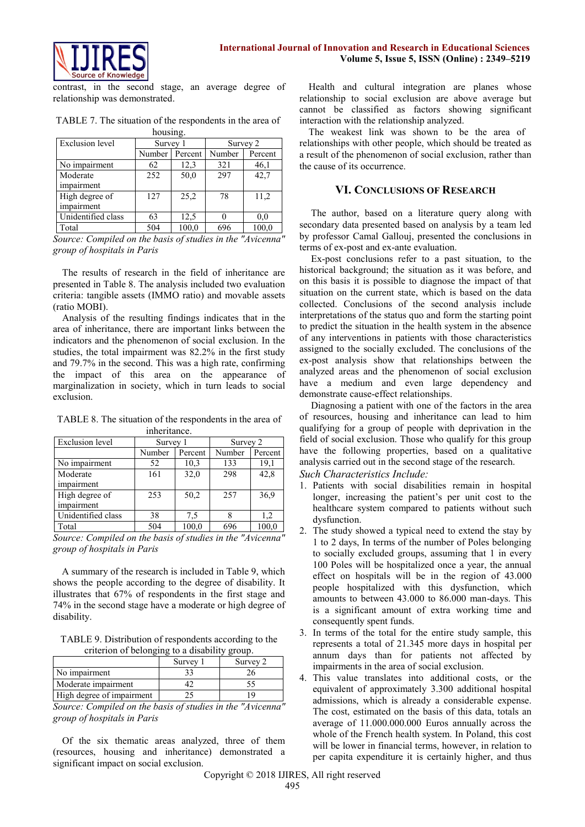



contrast, in the second stage, an average degree of relationship was demonstrated.

TABLE 7. The situation of the respondents in the area of housing.

| <b>Exclusion</b> level | Survey 1 |         | Survey 2 |         |
|------------------------|----------|---------|----------|---------|
|                        | Number   | Percent | Number   | Percent |
| No impairment          | 62       | 12,3    | 321      | 46,1    |
| Moderate               | 252      | 50,0    | 297      | 42,7    |
| impairment             |          |         |          |         |
| High degree of         | 127      | 25,2    | 78       | 11,2    |
| impairment             |          |         |          |         |
| Unidentified class     | 63       | 12,5    |          | 0.0     |
| Total                  | 504      | 100,0   | 696      | 100,0   |

*Source: Compiled on the basis of studies in the "Avicenna" group of hospitals in Paris* 

The results of research in the field of inheritance are presented in Table 8. The analysis included two evaluation criteria: tangible assets (IMMO ratio) and movable assets (ratio MOBI).

Analysis of the resulting findings indicates that in the area of inheritance, there are important links between the indicators and the phenomenon of social exclusion. In the studies, the total impairment was 82.2% in the first study and 79.7% in the second. This was a high rate, confirming the impact of this area on the appearance of marginalization in society, which in turn leads to social exclusion.

TABLE 8. The situation of the respondents in the area of inheritance.

| <b>Exclusion</b> level       | Survey 1 |         | Survey 2 |         |  |
|------------------------------|----------|---------|----------|---------|--|
|                              | Number   | Percent | Number   | Percent |  |
| No impairment                | 52       | 10,3    | 133      | 19,1    |  |
| Moderate<br>impairment       | 161      | 32,0    | 298      | 42,8    |  |
| High degree of<br>impairment | 253      | 50,2    | 257      | 36.9    |  |
| Unidentified class           | 38       | 7.5     |          | 1,2     |  |
| Total                        | 504      | 100,0   | 696      | 100,0   |  |

*Source: Compiled on the basis of studies in the "Avicenna" group of hospitals in Paris* 

A summary of the research is included in Table 9, which shows the people according to the degree of disability. It illustrates that 67% of respondents in the first stage and 74% in the second stage have a moderate or high degree of disability.

TABLE 9. Distribution of respondents according to the criterion of belonging to a disability group.

|                           | Survey | Survey 2 |
|---------------------------|--------|----------|
| No impairment             |        |          |
| Moderate impairment       |        |          |
| High degree of impairment |        |          |

*Source: Compiled on the basis of studies in the "Avicenna" group of hospitals in Paris* 

Of the six thematic areas analyzed, three of them (resources, housing and inheritance) demonstrated a significant impact on social exclusion.

Health and cultural integration are planes whose relationship to social exclusion are above average but cannot be classified as factors showing significant interaction with the relationship analyzed.

The weakest link was shown to be the area of relationships with other people, which should be treated as a result of the phenomenon of social exclusion, rather than the cause of its occurrence.

#### **VI. CONCLUSIONS OF RESEARCH**

The author, based on a literature query along with secondary data presented based on analysis by a team led by professor Camal Gallouj, presented the conclusions in terms of ex-post and ex-ante evaluation.

Ex-post conclusions refer to a past situation, to the historical background; the situation as it was before, and on this basis it is possible to diagnose the impact of that situation on the current state, which is based on the data collected. Conclusions of the second analysis include interpretations of the status quo and form the starting point to predict the situation in the health system in the absence of any interventions in patients with those characteristics assigned to the socially excluded. The conclusions of the ex-post analysis show that relationships between the analyzed areas and the phenomenon of social exclusion have a medium and even large dependency and demonstrate cause-effect relationships.

Diagnosing a patient with one of the factors in the area of resources, housing and inheritance can lead to him qualifying for a group of people with deprivation in the field of social exclusion. Those who qualify for this group have the following properties, based on a qualitative analysis carried out in the second stage of the research. *Such Characteristics Include:*

- 1. Patients with social disabilities remain in hospital longer, increasing the patient's per unit cost to the healthcare system compared to patients without such dysfunction.
- 2. The study showed a typical need to extend the stay by 1 to 2 days, In terms of the number of Poles belonging to socially excluded groups, assuming that 1 in every 100 Poles will be hospitalized once a year, the annual effect on hospitals will be in the region of 43.000 people hospitalized with this dysfunction, which amounts to between 43.000 to 86.000 man-days. This is a significant amount of extra working time and consequently spent funds.
- 3. In terms of the total for the entire study sample, this represents a total of 21.345 more days in hospital per annum days than for patients not affected by impairments in the area of social exclusion.
- 4. This value translates into additional costs, or the equivalent of approximately 3.300 additional hospital admissions, which is already a considerable expense. The cost, estimated on the basis of this data, totals an average of 11.000.000.000 Euros annually across the whole of the French health system. In Poland, this cost will be lower in financial terms, however, in relation to per capita expenditure it is certainly higher, and thus